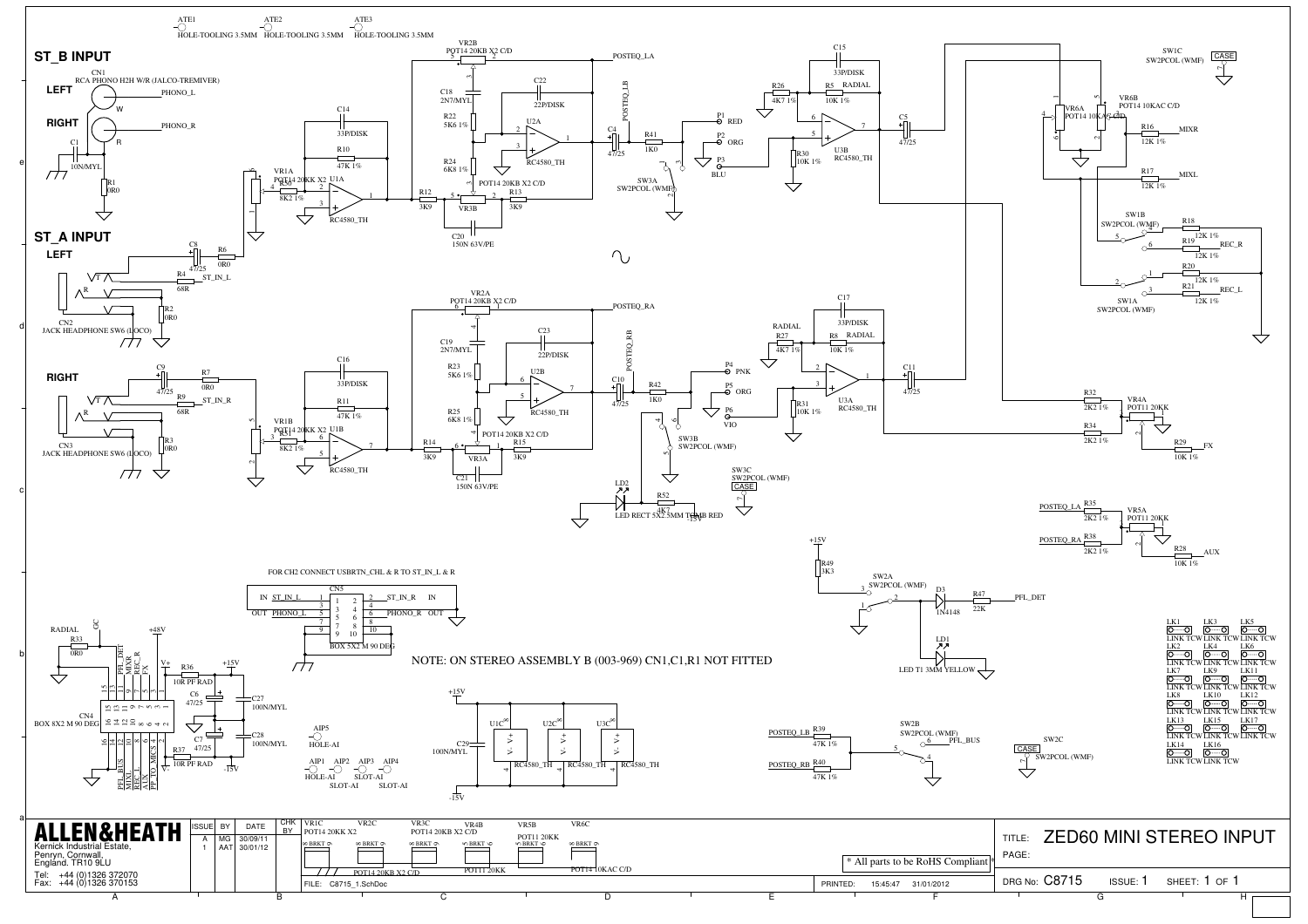